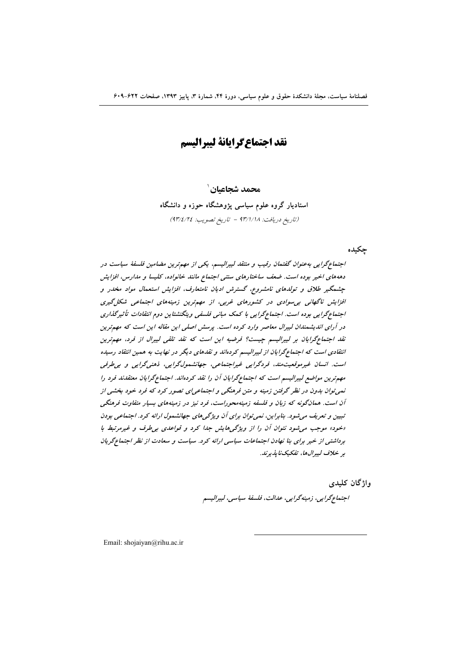# نقد اجتماع گرایانهٔ لیبرالیسم

محمد شحاعىان ٰ

استادیار گروه علوم سیاسی پژوهشگاه حوزه و دانشگاه (تاريخ دريافت: ٩٣/١/١٨ - تاريخ تصويب: ٩٣/٤/٢٤)

چکیده

اجتماع گرایی به عنوان گفتمان رقیب و منتقد لیبرالیسم، یکی از مهم ترین مضامین فلسفهٔ سیاست در دهههای اخیر بوده است. ضعف ساختارهای سنتی اجتماع مانند خانواده، کلیسا و مدارس، افزایش چشمگیر طلاق و تولدهای نامشروع، گسترش ادیان نامتعارف، افزایش استعمال مواد مخدر و افزایش ناگهانی بی سوادی در کشورهای غربی، از مهمترین زمینههای اجتماعی شکل گیری اجتماع گرایی بوده است. اجتماع گرایی با کمک مبانی فلسفی ویتگنشتاین دوم انتقادات تأثیرگذاری در آرای اندیشمندان لیبرال معاصر وارد کرده است. پرسش اصلی این مقاله این است که مهمترین نقد اجتماع گرایان بر لیبرالیسم جیست؟ فرضیه این است که نقد تلقی لیبرال از فرد، مهمترین انتقادی است که اجتماع گرایان از لیبرالیسم کردهاند و نقدهای دیگر در نهایت به همین انتقاد رسیده است. انسان غیرموقعیت مند، فردگرایی غیراجتماعی، جهانشمول گرایی، ذهنی گرایی و بپی طرفی مههترین مواضع لیپرالیسم است که اجتماع گرایان آن را نقد کردهاند. اجتماع گرایان معتقدند فرد را نمی توان بدون در نظر گرفتن زمینه و متن فرهنگی و اجتماعی ای تصور کرد که فرد خود بخشی از آن است. همانگونه که زبان و فلسفه زمینهمحوراست، فرد نیز در زمینههای بسیار متفاوت فرهنگی تبیین و تعریف می شود. بنابراین، نمی توان برای آن ویژگی های جهانشمول ارائه کرد. اجتماعی بودن «خود» موجب می شود نتوان آن را از ویژگی هایش جدا کرد و قواعدی بی طرف و غیرمرتبط با برداشتی از خیر برای بنا نهادن اجتماعات سیاسی ارائه کرد. سیاست و سعادت از نظر اجتماع گریان بر خلاف ليبرال ها، تفكيك نايذيرند.

> واژگان کلیدی اجتماع گرايي، زمينەگرايي، عدالت، فلسفهٔ سياسي، ليبراليسم

Email: shojaiyan@rihu.ac.ir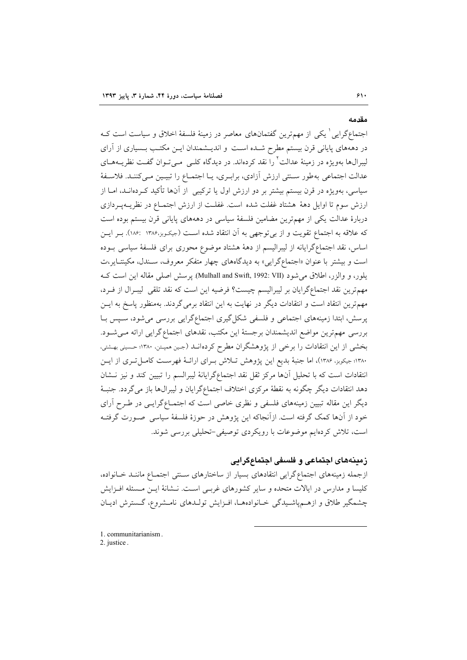مقدمه

اجتماع\$رایی ٰ یکی از مهمترین گفتمانهای معاصر در زمینهٔ فلسفهٔ اخلاق و سیاست است کـه در دهههای پایانی قرن بیستم مطرح شـده اسـت و اندیــشمندان ایــن مکتــب بــسیاری از آرای لیبرال&ا بهویژه در زمینهٔ عدالت<sup>۲</sup> را نقد کردهاند. در دیدگاه کلــی مــیتــوان گفــت نظریــههــای عدالت اجتماعی بهطور سـنتی ارزش آزادی، برابـری، یـا اجتمـاع را تبیـین مـیکننـد. فلاسـفهٔ سیاسی، بهویژه در قرن بیستم بیشتر بر دو ارزش اول یا ترکیبی ًاز آنها تأکید کـردهانــد، امــا از ارزش سوم تا اوایل دههٔ هشتاد غفلت شده است. غفلـت از ارزش اجتمــاع در نظریــهیــردازی دربارهٔ عدالت یکی از مهمترین مضامین فلسفهٔ سیاسی در دهههای پایانی قرن بیستم بوده است كه علاقه به اجتماع تقويت و از بي توجهي به آن انتقاد شده اسـت (جيكـوبز،١٣٨۶ :١٨۶). بــر ايــن اساس، نقد اجتماع گرایانه از لیبرالیسم از دههٔ هشتاد موضوع محوری برای فلسفهٔ سیاسی بوده است و بیشتر با عنوان «اجتماعگرایی» به دیدگاههای چهار متفکر معروف، سـندل، مکینتـایر،ت يلور، و والزر، اطلاق مي شود (Mulhall and Swift, 1992: VII). يرسش اصلي مقاله اين است ك مهمترین نقد اجتماعگرایان بر لیبرالیسم چیست؟ فرضیه این است که نقد تلقی لیبـرال از فـرد، مهم ترین انتقاد است و انتقادات دیگر در نهایت به این انتقاد برمی گردند. بهمنظور پاسخ به ایــن پرسش، ابتدا زمینههای اجتماعی و فلسفی شکل گیری اجتماعگرایی بررسی می شود، سـپس بـا بررسی مهمترین مواضع اندیشمندان برجستهٔ این مکتب، نقدهای اجتماع گرایی ارائه مے شود. بخشی از این انتقادات را برخی از پژوهشگران مطرح کردهانــد (جـین همپـتن، ۱۳۸۰؛ حـسینی بهـشتی، ۱۳۸۰؛ جیکوبر، ۱۳۸۶)، اما جنبهٔ بدیع این پژوهش تلاش برای ارائـهٔ فهرسـت کامـل تـری از ایـن انتقادات است که با تحلیل آنها مرکز ثقل نقد اجتماعگرایانهٔ لیبرالسم را تبیین کند و نیز نـشان دهد انتقادات دیگر چگونه به نقطهٔ مرکزی اختلاف اجتماعگرایان و لیبرال&ا باز میگردد. جنبهٔ دیگر این مقاله تبیین زمینههای فلسفی و نظری خاصی است که اجتمـاعگرایـی در طـرح آرای خود از آنها کمک گرفته است. ازآنجاکه این پژوهش در حوزهٔ فلسفهٔ سیاسی صورت گرفتـه است، تلاش کردهایم موضوعات با رویکردی توصیفی-تحلیلی بررسی شوند.

زمینههای اجتماعی و فلسفی اجتماعگرایی

ازجمله زمینههای اجتماع گرایی انتقادهای بسیار از ساختارهای سـنتی اجتمـاع ماننــد خـانواده، کلیسا و مدارس در ایالات متحده و سایر کشورهای غربے است. نـشانهٔ ایـن مـسئله افـزایش چشمگیر طلاق و ازهـمپاشـیدگی خـانوادههـا، افـزایش تولـدهای نامـشروع، گـسترش ادیـان

1. communitarianism. 2. justice.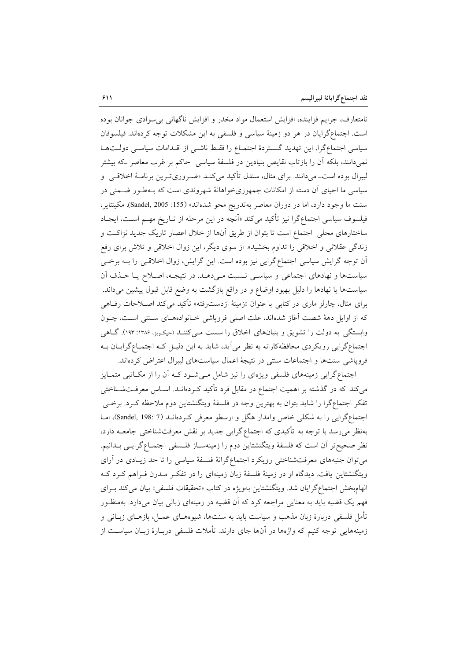نامتعارف، جرایم فزاینده، افزایش استعمال مواد مخدر و افزایش ناگهانی بی سوادی جوانان بوده است. اجتماعگرایان در هر دو زمینهٔ سیاسی و فلسفی به این مشکلات توجه کردهاند. فیلسوفان سیاسی اجتماع گرا، این تهدید گستردهٔ اجتمـاع را فقـط ناشـی از اقـدامات سیاسـی دولـتهـا نمیدانند، بلکه آن را بازتاب نقایص بنیادین در فلسفهٔ سیاسی حاکم بر غرب معاصر که بیشتر لیبرال بوده است\_میدانند. برای مثال، سندل تأکید میکنـد «ضـروریتـرین برنامـهٔ اخلاقـی و سیاسی ما احیای آن دسته از امکانات جمهوریخواهانهٔ شهروندی است که بـهطـور ضـمنی در سنت ما وجود دارد، اما در دوران معاصر بهتدريج محو شدهاند» (155: Sandel, 2005). مكينتاير، فیلسوف سیاسی اجتماعگرا نیز تأکید میکند «اَنچه در این مرحله از تـاریخ مهـم اسـت، ایجـاد ساختارهای محلی اجتماع است تا بتوان از طریق آنها از خلال اعصار تاریک جدید نزاکت و زندگی عقلانی و اخلاقی را تداوم بخشید». از سوی دیگر، این زوال اخلاقی و تلاش برای رفع اّن توجه گرایش سیاسی اجتماع گرایی نیز بوده است. این گرایش، زوال اخلاقـی را بــه برخـی سیاستها و نهادهای اجتماعی و سیاسـی نــسبت مـی۵هــد. در نتیجــه، اصــلاح یــا حــذف اَن سیاستها یا نهادها را دلیل بهبود اوضاع و در واقع بازگشت به وضع قابل قبول پیشین میداند. برای مثال، چارلز ماری در کتابی با عنوان «زمینهٔ ازدسترفته» تأکید میکند اصـلاحات رفـاهی كه از اوايل دههٔ شصت آغاز شدهاند، علت اصلي فروپاشي خـانوادههـاي سـنتي اسـت، چـون وابستگی به دولت را تشویق و بنیانهای اخلاق را سست مـیکننــد (جیکـوبر، ۱۳۸۶: ۱۹۳). گــاهی اجتماع گرایی رویکردی محافظهکارانه به نظر می آید، شاید به این دلیـل کـه اجتمـاعگرایـان بـه فروپاشی سنتها و اجتماعات سنتی در نتیجهٔ اعمال سیاستهای لیبرال اعتراض کردهاند.

اجتماع گرایی زمینههای فلسفی ویژهای را نیز شامل مـیشـود کـه آن را از مکـاتبی متمـایز میکند که در گذشته بر اهمیت اجتماع در مقابل فرد تأکید کـردهانــد. اســاس معرفــتشــناختمی تفکر اجتماعگرا را شاید بتوان به بهترین وجه در فلسفهٔ ویتگنشتاین دوم ملاحظه کـرد. برخـی اجتماع گرایی را به شکلی خاص وامدار هگل و ارسطو معرفی کردهانـد (Sandel, 198: 7)، امـا بهنظر میرسد با توجه به تأکیدی که اجتماع گرایی جدید بر نقش معرفتشناختی جامعــه دارد، نظر صحيح تر أن است كه فلسفة ويتگنشتاين دوم را زمينهسـاز فلـسفى اجتمـاع\$رايـبي بـدانيم. می توان جنبههای معرفتشناختی رویکرد اجتماعگرانهٔ فلسفهٔ سیاسی را تا حد زیـادی در آرای ویتگنشتاین یافت. دیدگاه او در زمینهٔ فلسفهٔ زبان زمینهای را در تفکـر مـدرن فـراهم کـرد کـه الهامبخش اجتماعگرایان شد. ویتگنشتاین بهویژه در کتاب «تحقیقات فلسفی» بیان میکند بـرای فهم یک قضیه باید به معنایی مراجعه کرد که آن قضیه در زمینهای زبانی بیان میدارد. بهمنظـور تأمل فلسفی دربارهٔ زبان مذهب و سیاست باید به سنتها، شیوههـای عمـل، بازهـای زبـانی و زمینههایی توجه کنیم که واژهها در آنها جای دارند. تأملات فلسفی دربـارهٔ زبـان سیاسـت از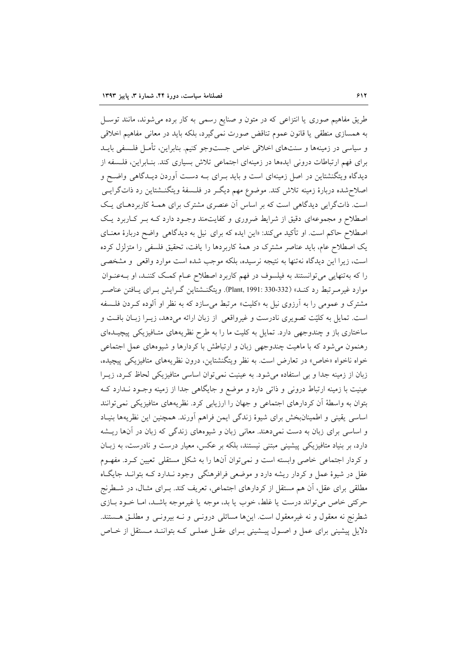طریق مفاهیم صوری یا انتزاعی که در متون و صنایع رسمی به کار برده میشوند، مانند توسـل به همسازی منطقی یا قانون عموم تناقض صورت نمیگیرد، بلکه باید در معانی مفاهیم اخلاقی و سیاسی در زمینهها و سنتهای اخلاقی خاص جستوجو کنیم. بنابراین، تأمـل فلــسفی بایــد برای فهم ارتباطات درونی ایدهها در زمینهای اجتماعی تلاش بسیاری کند. بنـابراین، فلــسفه از دیدگاه ویتگنشتاین در اصل زمینهای است و باید بـرای بـه دسـت آوردن دیـدگاهی واضـح و اصلاح شده دربارهٔ زمینه تلاش کند. موضوع مهم دیگـر در فلـسفهٔ ویتگنــشتاین رد ذاتگرایــی است. ذاتگرایی دیدگاهی است که بر اساس آن عنصری مشترک برای همـهٔ کاربردهـای یـک اصطلاح و مجموعهای دقیق از شرایط ضروری و کفایتمند وجـود دارد کـه بـر کـاربرد یـک اصطلاح حاکم است. او تأکید میکند: «این ایده که برای نیل به دیدگاه<sub>ی</sub> واضح دربارهٔ معنــای یک اصطلاح عام، باید عناصر مشترک در همهٔ کاربردها را یافت، تحقیق فلسفی را متزلزل کرده است، زیرا این دیدگاه نهتنها به نتیجه نرسیده، بلکه موجب شده است موارد واقعی و مشخصی را که بهتنهایی میتوانستند به فیلسوف در فهم کاربرد اصطلاح عـام کمـک کننـد، او بــهعنــوان موارد غیرمـرتبط رد کنـد» (330-332 :Plant, 1991). ویتگنــشتاین گــرایش بــرای یــافتن عناصــر مشترک و عمومی را به آرزوی نیل به «کلیت» مرتبط میسازد که به نظر او آلوده کـردن فلــسفه است. تمایل به کلیّت تصویری نادرست و غیرواقعی از زبان ارائه میدهد، زیـرا زبـان بافـت و ساختاری باز و چندوجهی دارد. تمایل به کلیت ما را به طرح نظریههای متـافیزیکی پیچیـدهای رهنمون می شود که با ماهیت چندوجهی زبان و ارتباطش با کردارها و شیوههای عمل اجتماعی خواه ناخواه «خاص» در تعارض است. به نظر ویتگنشتاین، درون نظریههای متافیزیکی پیچیده، زبان از زمینه جدا و بی استفاده می شود. به عینیت نمی توان اساسی متافیزیکی لحاظ کـرد، زیـرا عینیت با زمینه ارتباط درونی و ذاتی دارد و موضع و جایگاهی جدا از زمینه وجـود نــدارد کــه بتوان به واسطهٔ آن کردارهای اجتماعی و جهان را ارزیابی کرد. نظریههای متافیزیکی نمی توانند اساسی یقینی و اطمینانبخش برای شیوهٔ زندگی ایمن فراهم آورند. همچنین این نظریهها بنیـاد و اساسی برای زبان به دست نمیدهند. معانی زبان و شیوههای زندگی که زبان در آنها ریـشه دارد، بر بنیاد متافیزیکی پیشینی مبتنی نیستند، بلکه بر عکس، معیار درست و نادرست، به زبـان و کردار اجتماعی خاصی وابسته است و نمی توان آنها را به شکل مستقلی تعیین کـرد. مفهـوم عقل در شیوهٔ عمل و کردار ریشه دارد و موضعی فرافرهنگی وجود نـدارد کـه بتوانـد جایگـاه مطلقی برای عقل، آن هم مستقل از کردارهای اجتماعی، تعریف کند. بـرای مثـال، در شـطرنج حركتي خاص مي تواند درست يا غلط، خوب يا بد، موجه يا غيرموجه باشـد، امـا خــود بــازي شطرنج نه معقول و نه غیرمعقول است. اینها مسائلی درونـی و نـه بیرونـی و مطلـق هـستند. دلایل پیشینی برای عمل و اصـول پیــشینی بـرای عقـل عملـی کـه بتواننـد مــستقل از خــاص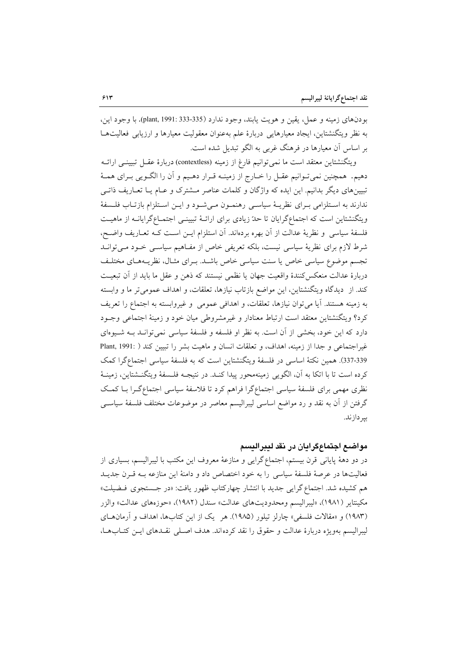بودنهاي زمينه و عمل، يقين و هويت يابند، وجود ندارد (335-333 .plant, 1991). با وجود اين، به نظر ويتگنشتاين، ايجاد معيارهايي دربارهٔ علم بهعنوان معقوليت معيارها و ارزيابي فعاليتهــا بر اساس آن معیارها در فرهنگ غربی به الگو تبدیل شده است.

ويتگنشتاين معتقد است ما نمي توانيم فارغ از زمينه (contextless) دربارهٔ عقـل تبيينـي ارائـه دهیم. همچنین نمیتوانیم عقـل را خــارج از زمینــه قــرار دهــیم و آن را الگــویی بــرای همــهٔ تبیینهای دیگر بدانیم. این ایده که واژگان و کلمات عناصر مشترک و عـام یـا تعـاریف ذاتـی ندارند به اسـتلزامي بـراي نظريــهٔ سياســي رهنمــون مــيشــود و ايــن اسـتلزام بازتــاب فلــسفهٔ ویتگنشتاین است که اجتماعگرایان تا حدّ زیادی برای ارائـهٔ تبیینـی اجتمـاعگرایانـه از ماهیـت فلسفة سياسي و نظرية عدالت از آن بهره بردهاند. آن استلزام ايــن اسـت كـه تعــاريف واضــح، شرط لازم برای نظریهٔ سیاسی نیست، بلکه تعریفی خاص از مفـاهیم سیاسـی خـود مـی توانـد تجسم موضوع سیاسی خاص یا سنت سیاسی خاص باشـد. بـرای مثـال، نظریـههـای مختلـف دربارهٔ عدالت منعکسکنندهٔ واقعیت جهان یا نظمی نیستند که ذهن و عقل ما باید از آن تبعیت کند. از دیدگاه ویتگنشتاین، این مواضع بازتاب نیازها، تعلقات، و اهداف عمومی تر ما و وابسته به زمینه هستند. آیا می توان نیازها، تعلقات، و اهدافی عمومی و غیروابسته به اجتماع را تعریف کرد؟ ویتگنشتاین معتقد است ارتباط معنادار و غیرمشروطی میان خود و زمینهٔ اجتماعی وجـود دارد که این خود، بخشی از آن است. به نظر او فلسفه و فلسفهٔ سیاسی نمی توانـد بــه شــیوهای غیراجتماعی و جدا از زمینه، اهداف، و تعلقات انسان و ماهیت بشر را تبیین کند ( .Plant, 1991 337-339). همين نكتة اساسي در فلسفة ويتكنشتاين است كه به فلسفة سياسي اجتماع گرا كمك كرده است تا با اتكا به آن، الگويي زمينهمحور پيدا كنـد. در نتيجـه فلـسفهٔ ويتگنــشتاين، زمينــهٔ نظری مهمی برای فلسفهٔ سیاسی اجتماعگرا فراهم کرد تا فلاسفهٔ سیاسی اجتماعگـرا بـا کمـک گرفتن از آن به نقد و رد مواضع اساسی لیبرالیسم معاصر در موضوعات مختلف فلسفهٔ سیاسـی بير دازند.

#### مواضع اجتماعگرايان در نقد ليبراليسم

در دو دههٔ پایانی قرن بیستم، اجتماع گرایی و منازعهٔ معروف این مکتب با لیبرالیسم، بسیاری از فعالیتها در عرصهٔ فلسفهٔ سیاسی را به خود اختصاص داد و دامنهٔ این منازعه بـه قـرن جدیـد هم كشيده شد. اجتماع گرايي جديد با انتشار چهاركتاب ظهور يافت: «در جستجوي فيضيلت» مكينتاير (١٩٨١)، «ليبراليسم ومحدوديتهاي عدالت» سندل (١٩٨٢)، «حوزههاي عدالت» والزر (۱۹۸۳) و «مقالات فلسفی» چارلز تیلور (۱۹۸۵). هر یک از این کتابها، اهداف و آرمان های ليبراليسم بهويژه دربارهٔ عدالت و حقوق را نقد كردهاند. هدف اصـلى نقـدهاى ايــن كتــابـهــا،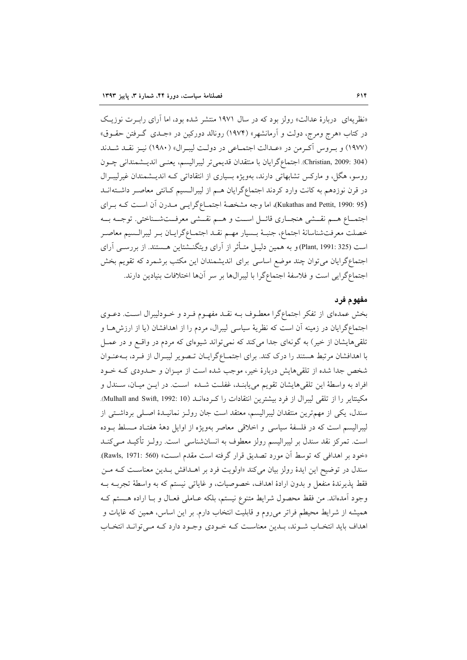«نظریهای دربارهٔ عدالت» رولز بود که در سال ۱۹۷۱ منتشر شده بود، اما آرای رابـرت نوزیـک در کتاب «هرج ومرج، دولت و ارمانشهر» (۱۹۷۴) رونالد دورکین در «جــدی گــرفتن حقــوق» (١٩٧٧) و بروس آكرمن در «عـدالت اجتمـاعي در دولـت ليبـرال» (١٩٨٠) نيـز نقـد شـدند (304 :Christian, 2009). اجتماع گرايان با منتقدان قديميتر ليبراليسم، يعنــي انديـــشمنداني چــون روسو، هگل، و مارکس تشابهاتی دارند، بهویژه بسیاری از انتقاداتی که اندیـشمندان غیرلیبـرال در قرن نوزدهم به کانت وارد کردند اجتماعگرایان هــم از لیبرالــسیم کــانتی معاصــر داشــته۱نــد (Kukathas and Pettit, 1990: 95)، اما وجه مشخصهٔ اجتمـاعگرایــی مــدرن آن اســت کــه بــرای اجتمــاع هــم نقــشي هنجــاري قائــل اســت و هـــم نقــشي معرفــتشــناختي. توجــه بــه خصلت معرفتشناسانهٔ اجتماع، جنبـهٔ بــسیار مهــم نقــد اجتمــاعگرایــان بــر لیبرالــسیم معاصــر است (325 :Plant, 1991) و به همین دلیـل متـأثر از آرای ویتگنــشتاین هــستند. از بررســی آرای اجتماعگرایان می توان چند موضع اساسی برای اندیشمندان این مکتب برشمرد که تقویم بخش اجتماع گرایی است و فلاسفهٔ اجتماع گرا با لیبرالها بر سر انها اختلافات بنیادین دارند.

#### مفهوم فرد

بخش عمدهای از تفکر اجتماعگرا معطـوف بــه نقــد مفهــوم فــرد و خــودليبرال اســت. دعــوی اجتماع گرایان در زمینه ان است که نظریهٔ سیاسی لیبرال، مردم را از اهدافشان (یا از ارزش۵ــا و تلقیهایشان از خیر) به گونهای جدا میکند که نمیتواند شیوهای که مردم در واقــع و در عمــل با اهدافشان مرتبط هستند را درک کند. برای اجتمــاعگرایــان تــصویر لیبــرال از فــرد، بــهعنــوان شخص جدا شده از تلقیهایش دربارهٔ خیر، موجب شده است از میـزان و حـدودی کـه خـود افراد به واسطهٔ این تلقیهایشان تقویم می یابنـد، غفلـت شـده اسـت. در ایـن میـان، سـندل و مكينتاير را از تلقى ليبرال از فرد بيشترين انتقادات را كـردهانــد (Mulhall and Swift, 1992: 10). سندل، یکی از مهم ترین منتقدان لیبرالیسم، معتقد است جان رولـز نمانیــدهٔ اصـلی برداشـتی از ليبراليسم است كه در فلسفة سياسي و اخلاقي معاصر بهويژه از اوايل دهة هفتـاد مـسلط بــوده است. تمركز نقد سندل بر ليبراليسم رولز معطوف به انسانشناسي است. رولـز تأكيــد مــيكنــد «خود بر اهدافی که توسط ان مورد تصدیق قرار گرفته است مقدم اســت» (Rawls, 1971: 560). سندل در توضيح اين ايدهٔ رولز بيان مي كند «اولويت فرد بر اهــدافش بــدين معناسـت كــه مــن فقط يذيرندهٔ منفعل و بدون ارادهٔ اهداف، خصوصيات، و غاياتي نيستم كه به واسطهٔ تجربــه بــه وجود أمدهاند. من فقط محصول شرايط متنوع نيستم، بلكه عـاملي فعـال و بـا اراده هـستم كـه همیشه از شرایط محیطم فراتر می روم و قابلیت انتخاب دارم. بر این اساس، همین که غایات و اهداف باید انتخـاب شـوند، بـدین معناسـت کـه خـودي وجـود دارد کـه مـیتوانـد انتخـاب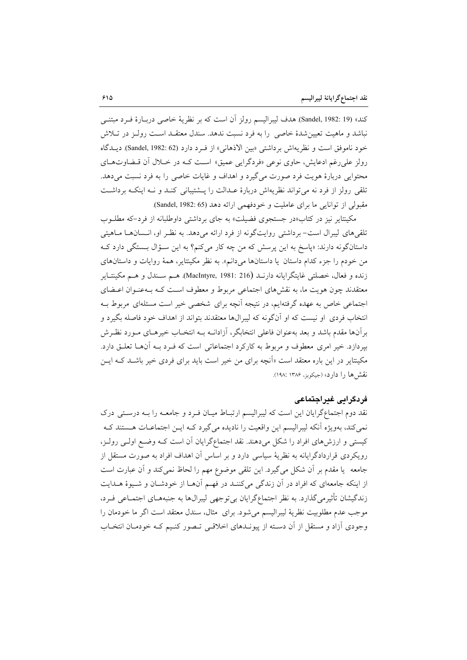كند» (Sandel, 1982: 19) هدف ليبراليسم رولز أن است كه بر نظرية خاصي دربـارة فـرد مبتنــي نباشد و ماهیت تعیین شدهٔ خاصی را به فرد نسبت ندهد. سندل معتقـد اسـت رولـز در تـلاش خود ناموفق است و نظريهاش برداشتي «بين الاذهاني» از فـرد دارد (Sandel, 1982: 62). ديـدگاه رولز علي رغم ادعايش، حاوي نوعي «فردگرايي عميق» است كـه در خــلال آن قــضاوتهــاي محتوایی دربارهٔ هویت فرد صورت میگیرد و اهداف و غایات خاصی را به فرد نسبت می دهد. تلقی رولز از فرد نه می تواند نظریهاش دربارهٔ عـدالت را پـشتیبانی کنـد و نـه اینکـه برداشـت مقبولي از توانايي ما براي عامليت و خودفهمي ارائه دهد (Sandel, 1982: 65).

مکینتایر نیز در کتاب«در جستجوی فضیلت» به جای برداشتی داوطلبانه از فرد-که مطلبوب تلقی های لیبرال است– برداشتی روایتگونه از فرد ارائه میدهد. به نظـر او، انـسانهـا مـاهیتی داستانگونه دارند: «پاسخ به این پرسش که من چه کار میکنم؟ به این سـؤال بـستگی دارد کـه من خودم را جزء كدام داستان يا داستانها مىدانم». به نظر مكينتاير، همهٔ روايات و داستانهاى زنده و فعال، خصلتي غايتگرايانه دارنـد (MacIntyre, 1981: 216). هـم سـندل و هـم مكينتـاير معتقدند چون هويت ما، به نقش هاى اجتماعى مربوط و معطوف است كـه بـهعنـوان اعـضاى اجتماعی خاص به عهده گرفتهایم، در نتیجه آنچه برای شخصی خیر است مسئلهای مربوط بـه انتخاب فردي او نيست كه او آنگونه كه ليبرالها معتقدند بتواند از اهداف خود فاصله بگيرد و برآنها مقدم باشد و بعد بهعنوان فاعلى انتخابگر، آزادانــه بــه انتخــاب خيرهــاي مــورد نظــرش بپردازد. خیر امری معطوف و مربوط به کارکرد اجتماعاتی است که فـرد بـه آنهـا تعلـق دارد. مکینتایر در این باره معتقد است «آنچه برای من خیر است باید برای فردی خیر باشـد کـه ایــن نقش ها را دارد» (جيکويز، ۱۳۸۶ :۱۹۸).

### فردگراہے غیراجتماعی

نقد دوم اجتماعگرایان این است که لیبرالیسم ارتبـاط میـان فـرد و جامعـه را بـه درسـتـی درک نمی کند، بهویژه آنکه لیبرالیسم این واقعیت را نادیده می گیرد کـه ایـن اجتماعـات هـستند کـه کیستی و ارزشهای افراد را شکل میدهند. نقد اجتماعگرایان آن است کـه وضـع اولـی رولـز، رویکردی قراردادگرایانه به نظریهٔ سیاسی دارد و بر اساس آن اهداف افراد به صورت مستقل از جامعه يا مقدم بر أن شكل مي گيرد. اين تلقى موضوع مهم را لحاظ نمى كند و أن عبارت است از اینکه جامعهای که افراد در آن زندگی میکننـد در فهـم آنهـا از خودشـان و شـيوهٔ هـدايت زندگیشان تأثیرمی گذارد. به نظر اجتماعگرایان بی توجهی لیبرالها به جنبههـای اجتمـاعی فـرد، موجب عدم مطلوبيت نظرية ليبراليسم مي شود. براي مثال، سندل معتقد است اگر ما خودمان را وجودی آزاد و مستقل از آن دسـته از پیونــدهای اخلاقــی تــصور کنــیم کــه خودمــان انتخــاب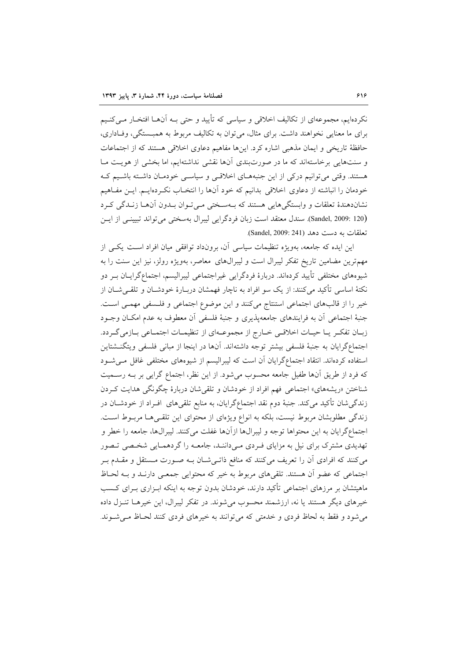نکردهایم، مجموعهای از تکالیف اخلاقی و سیاسی که تأیید و حتی بـه آنهـا افتخـار مـیکنـیم برای ما معنایی نخواهند داشت. برای مثال، می توان به تکالیف مربوط به همبــستگی، وفــاداری، حافظهٔ تاریخی و ایمان مذهبی اشاره کرد. اینها مفاهیم دعاوی اخلاقی هستند که از اجتماعات و سنتهایی برخاستهاند که ما در صورتبندی آنها نقشی نداشتهایم، اما بخشی از هویت مـا هستند. وقتی می توانیم درکی از این جنبههای اخلاقی و سیاسی خودمان داشته باشیم ک خودمان را انباشته از دعاوی اخلاقی بدانیم که خود آنها را انتخـاب نکــردهایــم. ایــن مفــاهیم نشاندهندهٔ تعلقات و وابستگیهایی هستند که بـهسـختی مـیتوان بـدون آنهـا زنـدگی کـرد (Sandel, 2009: 120). سندل معتقد است زبان فردگرایی لیبرال بهسختی می تواند تبیینی از ایس تعلقات به دست دهد (Sandel, 2009: 241).

این ایده که جامعه، بهویژه تنظیمات سیاسی آن، برونداد توافقی میان افراد است یکی از مهم ترین مضامین تاریخ تفکر لیبرال است و لیبرالهای معاصر، بهویژه رولز، نیز این سنت را به شیوههای مختلفی تأیید کردهاند. دربارهٔ فردگرایی غیراجتماعی لیبرالیسم، اجتماعگرایــان بــر دو نکتهٔ اساسی تأکید میکنند: از یک سو افراد به ناچار فهمشان دربـارهٔ خودشــان و تلقــیشــان از خير را از قالبهاي اجتماعي استنتاج مي كنند و اين موضوع اجتماعي و فلسفي مهمـي اسـت. جنبهٔ اجتماعی آن به فرایندهای جامعهپذیری و جنبهٔ فلسفی آن معطوف به عدم امکـان وجـود زبـان تفكـر يـا حيـات اخلاقـي خـارج از مجموعـهاي از تنظيمـات اجتمـاعي بـازمي گـردد. اجتماع گرایان به جنبهٔ فلسفی بیشتر توجه داشتهاند. آنها در اینجا از مبانی فلسفی ویتگنـشتاین استفاده کردهاند. انتقاد اجتماعگرایان آن است که لیبرالیسم از شیوههای مختلفی غافل می شود كه فرد از طريق آنها طفيل جامعه محسوب مي شود. از اين نظر، اجتماع گرايي بر بـه رسـميت شناختن «ریشههای» اجتماعی فهم افراد از خودشان و تلقی شان دربارهٔ چگونگی هدایت کردن زندگیشان تأکید میکند. جنبهٔ دوم نقد اجتماعگرایان، به منابع تلقیهای افـراد از خودشــان در زندگی مطلوبشان مربوط نیست، بلکه به انواع ویژهای از محتوای این تلقـیهـا مربـوط اسـت. اجتماع گرایان به این محتواها توجه و لیبرالها ازآنها غفلت میکنند. لیبرالها، جامعه را خطر و تهدیدی مشترک برای نیل به مزایای فـردی مـیداننـد، جامعـه را گردهمـایی شخـصی تـصور می کنند که افرادی آن را تعریف می کنند که منافع ذاتـی شــان بــه صــورت مــستقل و مقــدم بــر اجتماعی که عضو آن هستند. تلقی های مربوط به خیر که محتوایی جمعـی دارنـد و بـه لحـاظ ماهیتشان بر مرزهای اجتماعی تأکید دارند، خودشان بدون توجه به اینکه ابـزاری بـرای کـسب خیرهای دیگر هستند یا نه، ارزشمند محسوب می شوند. در تفکر لیبرال، این خیرهـا تنـزل داده می شود و فقط به لحاظ فردی و خدمتی که می توانند به خیرهای فردی کنند لحـاظ مـی شـوند.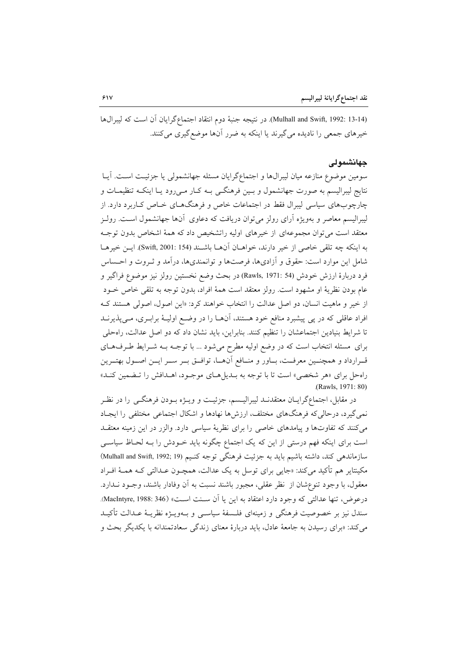(Mulhall and Swift, 1992: 13-14). در نتيجه جنبهٔ دوم انتقاد اجتماع گرايان آن است كه ليبرال ها خیرهای جمعی را نادیده می گیرند یا اینکه به ضرر آنها موضع گیری می کنند.

#### حهانشمولى

سومین موضوع منازعه میان لیبرالها و اجتماعگرایان مسئله جهانشمولی یا جزئیت است. آیـا نتايج ليبراليسم به صورت جهانشمول و بـين فرهنگـي بــه كـار مــي(ود يــا اينكــه تنظيمــات و چارچوبهای سیاسی لیبرال فقط در اجتماعات خاص و فرهنگهـای خـاص کـاربرد دارد. از لیبرالیسم معاصر و بهویژه آرای رولز می توان دریافت که دعاوی آنها جهانشمول است. رولـز معتقد است می توان مجموعهای از خیرهای اولیه راتشخیص داد که همهٔ اشخاص بدون توجـه به اينكه چه تلقى خاصى از خير دارند، خواهــان آنهــا باشــند (Swift, 2001: 154). ايــن خيرهــا شامل این موارد است: حقوق و آزادیها، فرصتها و توانمندیها، درآمد و ثـروت و احـساس فرد دربارهٔ ارزش خودش (Rawls, 1971: 54) در بحث وضع نخستین رولز نیز موضوع فراگیر و عام بودن نظرية او مشهود است. رولز معتقد است همهٔ افراد، بدون توجه به تلقى خاص خـود از خیر و ماهیت انسان، دو اصل عدالت را انتخاب خواهند کرد: «این اصول، اصولی هستند ک افراد عاقلی که در پی پیشبرد منافع خود هستند، آنهـا را در وضـع اولیـهٔ برابـری، مـیپذیرنــد تا شرایط بنیادین اجتماعشان را تنظیم کنند. بنابراین، باید نشان داد که دو اصل عدالت، راهحلی برای مسئله انتخاب است که در وضع اولیه مطرح میشود ... با توجـه بـه شـرایط طـرفهـای قـرارداد و همچنــين معرفــت، بــاور و منــافع آنهــا، توافــق بــر ســر ايــن اصــول بهتــرين راه حل براي «هر شخصي» است تا با توجه به بــديل هــاي موجــود، اهــدافش را تــضمين كنــد» (Rawls, 1971; 80)

در مقابل، اجتماعگرایــان معتقدنــد ليبراليــسم، جزئيــت و ويــژه بــودن فرهنگــي را در نظــر نمي گيرد، درحالي كه فرهنگهاي مختلف، ارزشها نهادها و اشكال اجتماعي مختلفي را ايجـاد می کنند که تفاوتها و پیامدهای خاصی را برای نظریهٔ سیاسی دارد. والزر در این زمینه معتقـد است برای اینکه فهم درستی از این که یک اجتماع چگونه باید خـودش را بـه لحـاظ سیاسـی سازماندهی کند، داشته باشیم باید به جزئیت فرهنگی توجه کنـیم (Mulhall and Swift, 1992; 19 مکینتایر هم تأکید میکند: «جایبی برای توسل به یک عدالت، همچـون عـدالت<sub>ی</sub> کـه همـهٔ افـراد معقول، با وجود تنوعِشان از نظر عقلي، مجبور باشند نسبت به آن وفادار باشند، وجـود نــدارد. درعوض، تنها عدالتي كه وجود دارد اعتقاد به اين يا آن سـنت اسـت» (MacIntyre, 1988: 346). سندل نیز بر خصوصیت فرهنگی و زمینهای فلـسفهٔ سیاسـی و بـهویـژه نظریـهٔ عـدالت تأکیـد می کند: «برای رسیدن به جامعهٔ عادل، باید دربارهٔ معنای زندگی سعادتمندانه با یکدیگر بحث و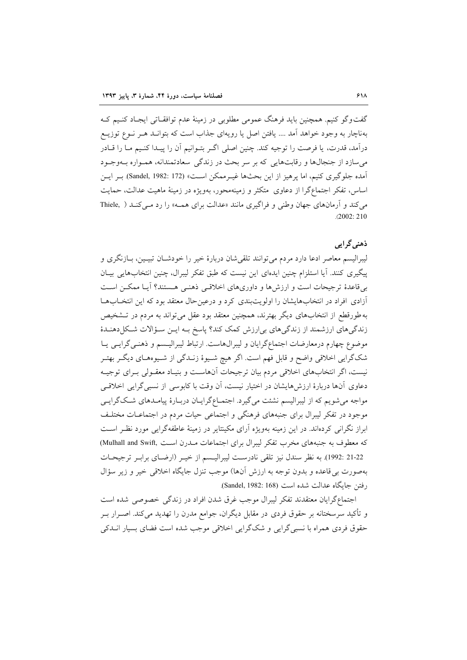گفتوگو کنیم. همچنین باید فرهنگ عمومی مطلوبی در زمینهٔ عدم توافقـاتی ایجـاد کنـیم کـه بهناچار به وجود خواهد آمد .... یافتن اصل یا رویهای جذاب است که بتوانـد هـر نــوع توزیــع درآمد، قدرت، یا فرصت را توجیه کند. چنین اصلی اگـر بتـوانیم آن را پیــدا کنـیم مــا را قــادر می سازد از جنجالها و رقابتهایی که بر سر بحث در زندگی سعادتمندانه، همـواره بــهوجـود آمده جلوگیری کنیم، اما یرهیز از این بحثها غیـرممکن اسـت» (Sandel, 1982: 172). بـر ایـن اساس، تفکر اجتماعگرا از دعاوی متکثر و زمینهمحور، بهویژه در زمینهٔ ماهیت عدالت، حمایت می کند و آرمانهای جهان وطنی و فراگیری مانند «عدالت برای همه» را رد میکند ( Thiele,  $(2002 \cdot 210$ 

## ذهني گرايي

لیبرالیسم معاصر ادعا دارد مردم میتوانند تلقیشان دربارهٔ خیر را خودشـان تبیـین، بـازنگری و پیگیری کنند. آیا استلزام چنین ایدهای این نیست که طبق تفکر لیبرال، چنین انتخابهایی بیـان بی قاعدهٔ ترجیحات است و ارزش ها و داوری های اخلاقبی ذهنبی هستند؟ آپـا ممکــن اسـت آزادی افراد در انتخابهایشان را اولویتبندی کرد و درعین حال معتقد بود که این انتخـابهـا به طورقطع از انتخابهای دیگر بهترند، همچنین معتقد بود عقل می تواند به مردم در تــشخیص زندگی های ارزشمند از زندگی های بی ارزش کمک کند؟ پاسخ بـه ایـن سـؤالات شـکل دهنـدهٔ موضوع چهارم درمعارضات اجتماعگرایان و لیبرالهاست. ارتباط لیبرالیـسم و ذهنـی گرایـی یـا شکگرایی اخلاقی واضح و قابل فهم است. اگر هیچ شـیوهٔ زنــدگی از شـیوههـای دیگــر بهتــر نیست، اگر انتخابهای اخلاقی مردم بیان ترجیحات آنهاست و بنیـاد معقـولی بـرای توجیـه دعاوی آنها دربارهٔ ارزشهایشان در اختیار نیست، آن وقت با کابوسی از نسبی گرایی اخلاقی مواجه می شویم که از لیبرالیسم نشئت می گیرد. اجتمـاعگرایـان دربـارهٔ پیامـدهای شـکگرایـی موجود در تفکر لیبرال برای جنبههای فرهنگی و اجتماعی حیات مردم در اجتماعـات مختلـف ابراز نگرانی کردهاند. در این زمینه بهویژه آرای مکینتایر در زمینهٔ عاطفهگرایی مورد نظیر است كه معطوف به جنبههاى مخرب تفكر ليبرال براى اجتماعات مـدرن اسـت ,Mulhall and Swift) 21-22 :1992). به نظر سندل نيز تلقى نادرست ليبراليسم از خيـر (ارضـاي برابـر ترجيحـات بهصورت بي قاعده و بدون توجه به ارزش آنها) موجب تنزل جايگاه اخلاقي خير و زير سؤال رفتن جايگاه عدالت شده است (Sandel, 1982: 168).

اجتماعگرایان معتقدند تفکر لیبرال موجب غرق شدن افراد در زندگی خصوصی شده است و تأکید سرسختانه بر حقوق فردی در مقابل دیگران، جوامع مدرن را تهدید میکند. اصــرار بــر حقوق فردی همراه با نسبی گرایی و شکگرایی اخلاقی موجب شده است فضای بسیار انبدکی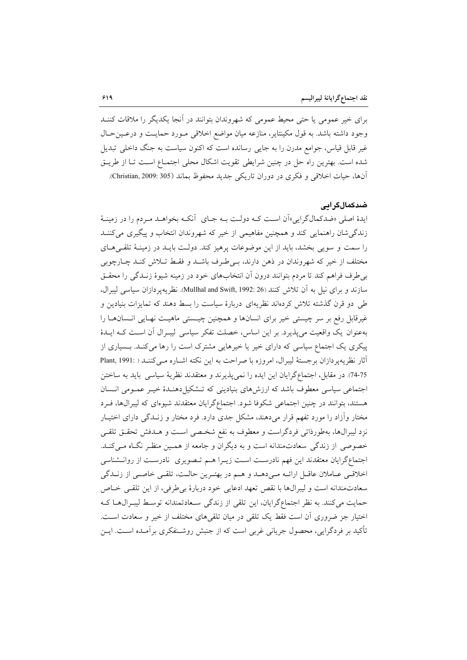برای خیر عمومی یا حتی محیط عمومی که شهروندان بتوانند در آنجا یکدیگر را ملاقات کننــد وجود داشته باشد. به قول مكينتاير، منازعه ميان مواضع اخلاقي مـورد حمايـت و درعـين حـال غیر قابل قیاس، جوامع مدرن را به جایبی رسانده است که اکنون سیاست به جنگ داخلی تبدیل شده است. بهترین راه حل در چنین شرایطی تقویت اشکال محلی اجتمـاع اسـت تـا از طریـق آنها، حيات اخلاقي و فكرى در دوران تاريكي جديد محفوظ بماند (305 :Christian, 2009).

### ضدکمالگرا**یی**

ایدهٔ اصلی «ضدکمالگرایی»ان است کـه دولـت بـه جـای انکـه بخواهـد مـردم را در زمینـهٔ زندگیشان راهنمایی کند و همچنین مفاهیمی از خیر که شهروندان انتخاب و پیگیری میکننــد را سمت و سویی بخشد، باید از این موضوعات یرهیز کند. دولت بایـد در زمینـهٔ تلقـی۵حـای مختلف از خیر که شهروندان در ذهن دارند، بےطرف باشد و فقط تـلاش کنـد چـارچوبی بی طرف فراهم کند تا مردم بتوانند درون ان انتخابهای خود در زمینه شیوهٔ زنــدگی را محقــق سازند و براي نيل به آن تلاش كنند (Mullhal and Swift, 1992: 26). نظريهير دازان سياسي ليبرال، طی دو قرن گذشته تلاش کردهاند نظریهای دربارهٔ سیاست را بسط دهند که تمایزات بنیادین و غیرقابل رفع بر سر چیستی خیر برای انسانها و همچنین چیـستی ماهیـت نهـایی انـسانهـا را بهعنوان يك واقعيت مى پذيرد. بر اين اساس، خصلت تفكر سياسى ليبـرال آن اسـت كـه ايـدهٔ پیکری یک اجتماع سیاسی که دارای خیر یا خیرهایی مشترک است را رها میکند. بـسیاری از آثار نظريه پردازان برجستهٔ ليبرال، امروزه با صراحت به اين نكته اشـاره مـى كننـد ( :Plant, 1991 74-75). در مقابل، اجتماعگرایان این ایده را نمیپذیرند و معتقدند نظریهٔ سیاسی باید به ساختن اجتماعی سیاسی معطوف باشد که ارزشهای بنیادینی که تـشکیلدهنـدهٔ خیـر عمـومی انـسان هستند، بتوانند در چنین اجتماعی شکوفا شود. اجتماعگرایان معتقدند شیوهای که لیبرال&ا، فــرد مختار وازاد را مورد تفهم قرار میدهند، مشکل جدی دارد. فرد مختار و زنــدگی دارای اختیــار نزد لیبرال۱ه، بهطورذاتی فردگراست و معطوف به نفع شخـصی اسـت و هــدفش تحقــق تلقــی خصوصی از زندگی سعادتمندانه است و به دیگران و جامعه از همـین منظـر نگــاه مــیکنــد. اجتماع گرایان معتقدند این فهم نادرست است زیــرا هــم تــصویری نادرسـت از روانــشناسی اخلاقـي عــاملان عاقــل ارائــه مــىدهــد و هــم در بهتــرين حالــت، تلقــي خاصــي از زنــدگي سعادتمندانه است و ليبرالها با نقص تعهد ادعايي خود دربارهٔ بي طرفي، از اين تلقـي خــاص حمایت میکنند. به نظر اجتماعگرایان، این تلقی از زندگی سـعادتمندانه توسـط لیبـرال۱هـا کـه اختیار جز ضروری آن است فقط یک تلقی در میان تلقیهای مختلف از خیر و سعادت است. تاکید بر فردگرایی، محصول جریانی غربی است که از جنبش روشـنفکری برامـده اســت. ایــن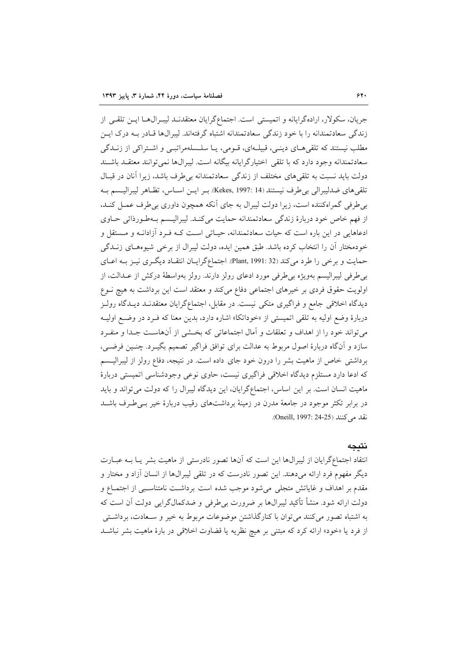جريان، سكولار، ارادهگرايانه و اتميستي است. اجتماعگرايان معتقدنـد ليبـرال1هـا ايــن تلقــي از زندگی سعادتمندانه را با خود زندگی سعادتمندانه اشتباه گرفتهاند. لیبرالها قـادر بـه درک ایـن مطلب نیستند که تلقی هـای دینـی، قبیلـهای، قـومی، یـا سلـسلهمراتبـی و اشـتراکی از زنـدگی سعادتمندانه وجود دارد كه با تلقى اختيارگرايانه بيگانه است. ليبرالها نمى توانند معتقـد باشـند دولت باید نسبت به تلقیهای مختلف از زندگی سعادتمندانه بی طرف باشد، زیرا آنان در قبـال تلقىهاى ضدليبرالي بي طرف نيستند (Kekes, 1997: 14). بـر ايـن اسـاس، تظـاهر ليبراليـسم بـه بی طرفی گمراهکننده است، زیرا دولت لیبرال به جای آنکه همچون داوری بی طرف عمـل کنـد. از فهم خاص خود دربارهٔ زندگی سعادتمندانه حمایت میکند. لیبرالیـسم بـهطـورذاتی حـاوی ادعاهایی در این باره است که حیات سعادتمندانه، حیـاتی اسـت کـه فـرد آزادانـه و مـستقل و خودمختار آن را انتخاب کرده باشد. طبق همین ایده، دولت لیبرال از برخی شیوههای زنبدگی حمایت و برخی را طرد می کند (Plant, 1991: 32). اجتماعگرایـان انتقـاد دیگـری نیـز بـه اعـای بی طرفی لیبرالیسم بهویژه بی طرفی مورد ادعای رولز دارند. رولز بهواسطهٔ درکش از عــدالت، از اولویت حقوق فردی بر خیرهای اجتماعی دفاع میکند و معتقد است این برداشت به هیچ نـوع دیدگاه اخلاقی جامع و فراگیری متکی نیست. در مقابل، اجتماعگرایان معتقدنـد دیـدگاه رولـز دربارهٔ وضع اولیه به تلقی اتمیستی از «خوداتکا» اشاره دارد، بدین معنا که فـرد در وضـع اولیـه می تواند خود را از اهداف و تعلقات و آمال اجتماعاتی که بخشی از آنهاست جـدا و منفـرد سازد و آنگاه دربارهٔ اصول مربوط به عدالت برای توافق فراگیر تصمیم بگیـرد. چنـین فرضـی، برداشتی خاص از ماهیت بشر را درون خود جای داده است. در نتیجه، دفاع رولز از لیبرالیـسم که ادعا دارد مستلزم دیدگاه اخلاقی فراگیری نیست، حاوی نوعی وجودشناسی اتمیستی دربارهٔ ماهیت انسان است. بر این اساس، اجتماعگرایان، این دیدگاه لیبرال را که دولت می تواند و باید در برابر تکثر موجود در جامعهٔ مدرن در زمینهٔ برداشتهای رقیب دربارهٔ خیر بـی طـرف باشــد نقد می کنند (Oneill, 1997: 24-25).

#### نتىحە

انتقاد اجتماعگرایان از لیبرالها این است که آنها تصور نادرستی از ماهیت بشر یـا بــه عبــارت دیگر مفهوم فرد ارائه میدهند. این تصور نادرست که در تلقی لیبرال&ا از انسان آزاد و مختار و مقدم بر اهداف و غایاتش متجلی میشود موجب شده است برداشت نامتناسبی از اجتمـاع و دولت ارائه شود. منشأ تأكيد ليبرال\$ا بر ضرورت بي¢رفي و ضدكمالگرايي دولت آن است كه به اشتباه تصور می کنند می توان با کنارگذاشتن موضوعات مربوط به خیر و سـعادت، برداشـتی از فرد یا «خود» ارائه کرد که مبتنی بر هیچ نظریه یا قضاوت اخلاقی در بارهٔ ماهیت بشر نباشـد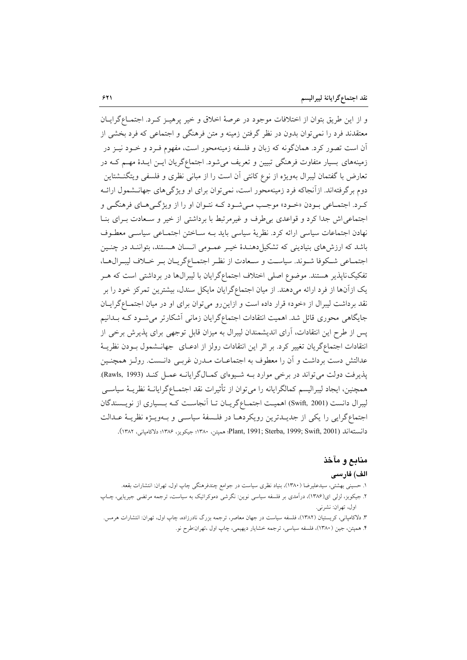و از این طریق بتوان از اختلافات موجود در عرصهٔ اخلاق و خیر پرهیـز کـرد. اجتمـاعگرایـان معتقدند فرد را نمي توان بدون در نظر گرفتن زمينه و متن فرهنگي و اجتماعي كه فرد بخشي از آن است تصور کرد. همانگونه که زبان و فلسفه زمینهمحور است، مفهوم فـرد و خـود نیــز در زمینههای بسیار متفاوت فرهنگی تبیین و تعریف می شود. اجتماعگریان ایــن ایــدهٔ مهــم کــه در تعارض با گفتمان ليبرال بهويژه از نوع كانتي آن است را از مباني نظري و فلسفي ويتگنــشتاين دوم برگرفتهاند. ازآنجاکه فرد زمینهمحور است، نمیتوان برای او ویژگیهای جهانـشمول ارائـه ک د. اجتمـاعي بـودن «خـود» موجـب مـي شـود کـه نتـوان او را از ويژگـي هـاي فرهنگـي و اجتماعی اش جدا کرد و قواعدی بی طرف و غیرمرتبط با برداشتی از خیر و سـعادت بـرای بنـا نهادن اجتماعات سیاسی ارائه کرد. نظریهٔ سیاسی باید بـه سـاختن اجتمـاعی سیاسـی معطـوف باشد که ارزشهای بنیادینی که تشکیلدهنـدهٔ خیـر عمـومی انـسان هـستند، بتواننـد در چنـین اجتمـاعي شـكوفا شـوند. سياسـت و سـعادت از نظـر اجتمـاع\$ريـان بـر خــلاف ليبـرال1مـا، تفکیکناپذیر هستند. موضوع اصلی اختلاف اجتماعگرایان با لیبرالها در برداشتی است که هـر یک ازآنها از فرد ارائه میدهند. از میان اجتماعگرایان مایکل سندل، بیشترین تمرکز خود را بر نقد برداشت لیبرال از «خود» قرار داده است و ازاین رو می توان برای او در میان اجتمـاعگرایـان جایگاهی محوری قائل شد. اهمیت انتقادات اجتماعگرایان زمانی آشکارتر می شود کـه بـدانیم یس از طرح این انتقادات، آرای اندیشمندان لیبرال به میزان قابل توجهی برای پذیرش برخی از انتقادات اجتماعگریان تغییر کرد. بر اثر این انتقادات رولز از ادعـای جهانــشمول بــودن نظریــهٔ عدالتش دست برداشت و آن را معطوف به اجتماعـات مــدرن غربــي دانــست. رولــز همچنــين پذیرفت دولت می تواند در برخی موارد بـه شـیوهای کمـالگرایانـه عمـل کنـد (Rawls, 1993). همچنین، ایجاد لیبرالیسم کمالگرایانه را میتوان از تأثیرات نقد اجتمـاعگرایانــهٔ نظریــهٔ سیاســی لیبرال دانست (Swift, 2001) اهمیت اجتمـاعگریـان تـا آنجاسـت کـه بـسیاری از نویـسندگان اجتماع گرایی را یکی از جدیـدترین رویکردهـا در فلـسفهٔ سیاسـی و بـهویـژه نظریـهٔ عـدالت دانستهاند (Plant, 1991; Sterba, 1999; Swift, 2001؛ هميتن، ١٣٨٠؛ جيكويز، ١٣٨۶؛ دلاكامياني، ١٣٨٢).

## منابع و مآخذ الف) فارسى

١. حسینی بهشتی، سیدعلیرضا (١٣٨٠)، بنیاد نظری سیاست در جوامع چندفرهنگی چاپ اول، تهران: انتشارات بقعه. ۲. جیکوبز، لزلی ای(۱۳۸۶)، درآمدی بر فلسفه سیاسی نوین: نگرشی دموکراتیک به سیاست، ترجمه مرتضی جیریایی، چـاپ اول، تهران: نشرني.

۳. دلاکامپانی، کریستیان (۱۳۸۲)، فلسفه سیاست در جهان معاصر، ترجمه بزرگ نادرزاده، چاپ اول، تهران: انتشارات هرمس. ۴. همپتن، جين ( ۱۳۸۰)، فلسفه سياسي، ترجمه خشايار ديهيمي، چاپ اول ،تهران:طرح نو.